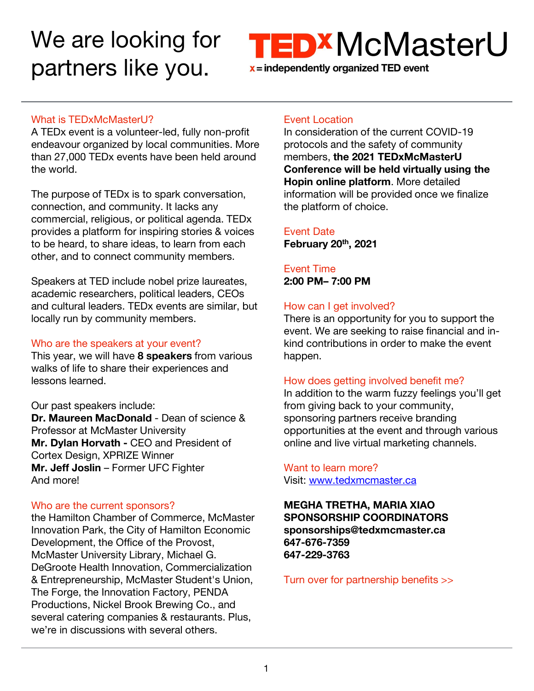# We are looking for partners like you.



#### What is TEDxMcMasterU?

A TEDx event is a volunteer-led, fully non-profit endeavour organized by local communities. More than 27,000 TEDx events have been held around the world.

The purpose of TEDx is to spark conversation, connection, and community. It lacks any commercial, religious, or political agenda. TEDx provides a platform for inspiring stories & voices to be heard, to share ideas, to learn from each other, and to connect community members.

Speakers at TED include nobel prize laureates, academic researchers, political leaders, CEOs and cultural leaders. TEDx events are similar, but locally run by community members.

#### Who are the speakers at your event?

This year, we will have **8 speakers** from various walks of life to share their experiences and lessons learned.

Our past speakers include: **Dr. Maureen MacDonald** - Dean of science & Professor at McMaster University **Mr. Dylan Horvath -** CEO and President of Cortex Design, XPRIZE Winner **Mr. Jeff Joslin** – Former UFC Fighter And more!

## Who are the current sponsors?

the Hamilton Chamber of Commerce, McMaster Innovation Park, the City of Hamilton Economic Development, the Office of the Provost, McMaster University Library, Michael G. DeGroote Health Innovation, Commercialization & Entrepreneurship, McMaster Student's Union, The Forge, the Innovation Factory, PENDA Productions, Nickel Brook Brewing Co., and several catering companies & restaurants. Plus, we're in discussions with several others.

## Event Location

In consideration of the current COVID-19 protocols and the safety of community members, **the 2021 TEDxMcMasterU Conference will be held virtually using the Hopin online platform**. More detailed information will be provided once we finalize the platform of choice.

Event Date **February 20th , 2021**

Event Time **2:00 PM– 7:00 PM**

## How can I get involved?

There is an opportunity for you to support the event. We are seeking to raise financial and inkind contributions in order to make the event happen.

## How does getting involved benefit me?

In addition to the warm fuzzy feelings you'll get from giving back to your community, sponsoring partners receive branding opportunities at the event and through various online and live virtual marketing channels.

#### Want to learn more? Visit: [www.tedxmcmaster.ca](http://www.tedxmcmaster.ca/)

## **MEGHA TRETHA, MARIA XIAO SPONSORSHIP COORDINATORS sponsorships@tedxmcmaster.ca 647-676-7359 647-229-3763**

Turn over for partnership benefits >>